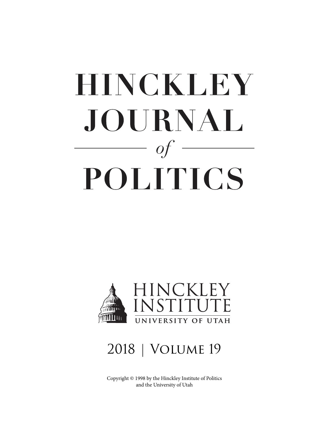# <span id="page-0-0"></span>**HINCKLEY** JOURNAL  $of$ POLITICS



# 2018 | Volume 19

Copyright © 1998 by the Hinckley Institute of Politics and the University of Utah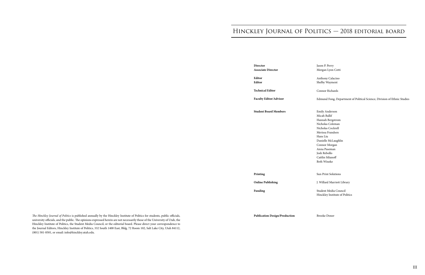# Hinckley Journal of Politics — 2018 editorial board

**Director Associate Director**

**Editor Editor**

**Technical Editor**

**Faculty Editor/Advisor**

**Student Board Members**

**Printing**

**Online Publishing**

**Funding**

**Publication Design/Production**

Jason P. Perry Morgan Lyon Cotti

Anthony Calacino Shelby Wayment

Connor Richards

Edmund Fong, Department of Political Science, Division of Ethnic Studies

Emily Anderson Micah Ballif Hannah Bergstrom Nicholas Coleman Nicholas Cockrell Merissa Frandsen Hans Liu Danielle McLaughlin Connor Morgan Anna Paseman Josh Rebollo Caitlin Silianoff Beth Wineke

Sun Print Solutions

*The Hinckley Journal of Politics* is published annually by the Hinckley Institute of Politics for students, public officials, **Publication Design/Production** Brooke Doner university officials, and the public. The opinions expressed herein are not necessarily those of the University of Utah, the Hinckley Institute of Politics, the Student Media Council, or the editorial board. Please direct your correspondence to the Journal Editors, Hinckley Institute of Politics, 332 South 1400 East, Bldg. 72 Room 102, Salt Lake City, Utah 84112, (801) 581-8501, or email: info@hinckley.utah.edu.

J. Willard Marriott Library

Student Media Council Hinckley Institute of Politics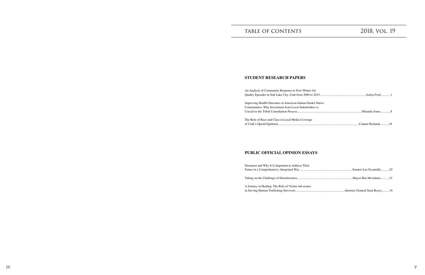| <b>\ir</b> |  |
|------------|--|
|            |  |
| ca Native  |  |
| ers is     |  |
|            |  |
|            |  |
|            |  |

# TABLE OF CONTENTS 2018, VOL. 19

## **STUDENT RESEARCH PAPERS**

An Analysis of Community Response to Poor Winter A Quality Episodes in Salt Lake City, Utah from 2000 to

Improving Health Outcomes in American Indian/Alask Communities: Why Investment from Local Stakeholder Crucial to the Tribal Consultation Process...................................................................................Miranda Jone[s.............](#page-0-0)8

The Role of Race and Class in Local Media Coverage of Utah's Opioid Epidemic......

Dreamers and Why It Is Important to Address Their Future in a Comprehensive, Integrated Way ...............

Taking on the Challenge of Homelessness....................

A Journey in Healing: The Role of Victim Advocates in Serving Human Trafficking Survivors.....................

## **PUBLIC OFFICIAL OPINION ESSAYS**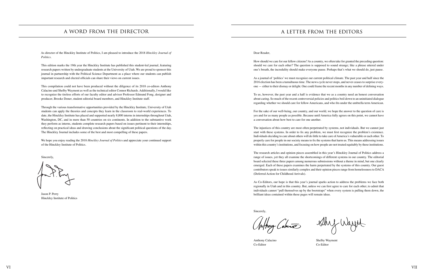As director of the Hinckley Institute of Politics, I am pleased to introduce the 2018 *Hinckley Journal of Politics.*

This edition marks the 19th year the Hinckley Institute has published this student-led journal, featuring research papers written by undergraduate students at the University of Utah. We are proud to sponsor this journal in partnership with the Political Science Department as a place where our students can publish important research and elected officials can share their views on current issues.

This compilation could not have been produced without the diligence of its 2018 co-editors Anthony Calacino and Shelby Wayment as well as the technical editor Connor Richards. Additionally, I would like to recognize the tireless efforts of our faculty editor and advisor Professor Edmund Fong, designer and producer, Brooke Doner, student editorial board members, and Hinckley Institute staff.

Through the various transformative opportunities provided by the Hinckley Institute, University of Utah students can apply the theories and concepts they learn in the classroom to real-world experiences. To date, the Hinckley Institute has placed and supported nearly 8,000 interns in internships throughout Utah, Washington, DC, and in more than 50 countries on six continents. In addition to the substantive work they perform as interns, students complete research papers based on issues pertinent to their internships, reflecting on practical ideas and drawing conclusions about the significant political questions of the day. The Hinckley Journal includes some of the best and most compelling of these papers.

We hope you enjoy reading the 2018 *Hinckley Journal of Politic*s and appreciate your continued support of the Hinckley Institute of Politics.

Sincerely,

Jason P. Perry Hinckley Institute of Politics

Dear Reader,

How should we care for our fellow citizens? As a country, we often take for granted the preceding question: should we care for each other? The question is supposed to sound strange; like a phrase uttered under one's breath, the incredulity should make everyone pause. Perhaps that's what we should do, just pause.

As a journal of 'politics' we must recognize our current political climate. The past year and half since the 2016 election has been a tumultuous time. The news cycle never stops, and never ceases to surprise everyone — either to their dismay or delight. One could frame the recent months in any number of defining ways.

To us, however, the past year and a half is evidence that we as a country need an honest conversation about caring. So much of the recent controversial policies and politics boil down to an uninitiated dialogue regarding whether we should care for fellow Americans, and who fits under the umbrella term American.

For the sake of our well-being, our country, and our world, we hope the answer to the question of care is yes and for as many people as possible. Because until America fully agrees on this point, we cannot have a conversation about how best to care for one another.

The injustices of this country are most often perpetrated by systems, not individuals. But we cannot just start with these systems. In order to fix any problem, we must first recognize the problem's existence. Individuals deciding to care about others will do little to take care of America's vulnerable or each other. To properly care for people in our society means to fix the systems that harm us. This means addressing issues within this country's institutions, and focusing on how people are not treated equitably by these institutions.

The research articles and opinion pieces assembled in this year's Hinckley Journal of Politics address a range of issues, yet they all examine the shortcomings of different systems in our country. The editorial board selected these three papers among numerous submissions without a theme in mind, but one clearly emerged. Each of these papers examines the harm perpetrated by the systems of this country. Our guest contributors speak to issues similarly complex and their opinion pieces range from homelessness to DACA (Deferred Action for Childhood Arrivals).

As Co-Editors, our hope is that this year's journal sparks action to address the problems we face both regionally in Utah and in this country. But, unless we can first agree to care for each other, to admit that individuals cannot "pull themselves up by the bootstraps" when every system is pulling them down, the brilliant ideas contained within these pages will remain ideas.

Sincerely,

Inform Cabuna

Anthony Calacino Shelby Wayment

Co-Editor Co-Editor

Shy Wayne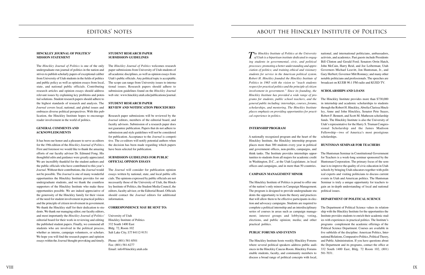## editors' notes

## **HINCKLEY JOURNAL OF POLITICS' MISSION STATEMENT**

The *Hinckley Journal of Politics* is one of the only undergraduate-run journal of politics in the nation and strives to publish scholarly papers of exceptional caliber from University of Utah students in the fields of politics and public policy as well as opinion essays from local, state, and national public officials. Contributing research articles and opinion essays should address relevant issues by explaining key problems and potential solutions. Student research papers should adhere to the highest standards of research and analysis. The *Journal* covers local, national, and global issues and embraces diverse political perspectives. With this publication, the Hinckley Institute hopes to encourage reader involvement in the world of politics.

## **GENERAL COMMENTS AND ACKNOWLEDGMENTS**

It has been our honor and a pleasure to serve as editors for the 19th edition of the *Hinckley Journal of Politics.*  First and foremost we would like to thank the amazing efforts of our faculty advisor Dr. Edmund Fong. His thoughtful edits and guidance were greatly appreciated. We are incredibly thankful for the student authors and the public officials who have contributed to this year's *Journal*. Without their contributions, the *Journal* would not be possible. The *Journal* is one of many wonderful opportunities the Hinckley Institute provides for our undergraduate students, and we thank the countless supporters of the Hinckley Institute who make these opportunities possible. We are indeed appreciative of the generosity of the Hinckley family for their vision of the need for student involvement in practical politics and the principle of citizen involvement in government. We thank the Hinckley staff for their dedication to students. We thank our managing editor, our faculty editors, and most importantly the *Hinckley Journal of Politics'* editorial board for their work in reviewing and editing the published student papers. Finally, we commend all students who are involved in the political process, whether as interns, campaign volunteers, or scholars. We hope you will find the research papers and opinion essays within the *Journal* thought-provoking and timely.

## **STUDENT RESEARCH PAPER SUBMISSION GUIDELINES**

The *Hinckley Journal of Politics* welcomes research paper submissions from University of Utah students of all academic disciplines, as well as opinion essays from Utah's public officials. Any political topic is acceptable. The scope can range from University issues to international issues. Research papers should adhere to submission guidelines found on the *Hinckley Journal* web site: www.hinckley.utah.edu/publications/journal.

## **STUDENT RESEARCH PAPER REVIEW AND NOTIFICATION PROCEDURES**

Research paper submissions will be reviewed by the *Journal* editors, members of the editorial board, and faculty advisors. Submission of a research paper does not guarantee publication. Papers that do not adhere to submission and style guidelines will not be considered for publication. Acceptance to the *Journal* is competitive. The co-editors will notify potential authors when the decision has been made regarding which papers have been selected for publication.

## **SUBMISSION GUIDELINES FOR PUBLIC OFFICIAL OPINION ESSAYS**

The *Journal* will consider for publication opinion essays written by national, state, and local public officials. The opinions expressed by public officials are not necessarily those of the University of Utah, the Hinckley Institute of Politics, the Student Media Council, the editors, faculty advisor, or the Editorial Board. Officials should contact the *Journal* editors for additional information.

## **CORRESPONDENCE MAY BE SENT TO:**

University of Utah Hinckley Institute of Politics 332 South 1400 East Bldg. 72, Room 102 Salt Lake City, UT 84112-9151

Phone: (801) 581-8501 Fax: (801) 581-6277 Email: info@hinckley.utah.edu

*The Hinckley Institute of Politics at the University of Utah is a bipartisan institute dedicated to engaging students in governmental, civic, and political processes; promoting a better understanding and appreciation of politics; and training ethical and visionary students for service in the American political system. Robert H. Hinckley founded the Hinckley Institute of Politics in 1965 with the vision to "teach students respect for practical politics and the principle of citizen involvement in government." Since its founding, the Hinckley Institute has provided a wide range of programs for students, public school teachers, and the general public including: internships, courses, forums, scholarships, and mentoring. The Hinckley Institute places emphasis on providing opportunities for practical experience in politics.*  **INTERNSHIP PROGRAM** A nationally recognized program and the heart of the national, and international politicians, ambassadors, activists, and academics. Past guests include Presidents Bill Clinton and Gerald Ford; Senators Orrin Hatch, John McCain, Harry Reid, and Joe Leiberman; Utah Governors Michael Leavitt, Jon Huntsman, Jr., and Gary Herbert; Governor Mitt Romney; and many other notable politicians and professionals. The speeches are broadcast on KUER 90.1 FM radio and KUED TV. **SCHOLARSHIPS AND LOANS** The Hinckley Institute provides more than \$730,000 in internship and academic scholarships to students through the Robert H. Hinckley, Abrelia Clarissa Hinckley, Anne and John Hinckley, Senator Pete Suazo, Robert F. Bennett, and Scott M. Matheson scholarship funds. The Hinckley Institute is also the University of Utah's representative for the Harry S. Truman Congressional Scholarship and the James Madison Fellowship—two of America's most prestigious scholarships.

practical politics.

Hinckley Institute, the Hinckley internship program places more than 300 students every year in political and government offices, non-profits, campaigns, and think tanks. The Institute provides internships opportunities to students from all majors for academic credit in Washington, D.C., at the Utah Legislature, in local offices and campaigns, and in more than 50 countries. **CAMPAIGN MANAGEMENT MINOR** The Hinckley Institute of Politics is proud to offer one of the nation's only minors in Campaign Management. The program is designed to provide undergraduate students the opportunity to learn the theory and practices that will allow them to be effective participants in election and advocacy campaigns. Students are required to complete a political internship and an interdisciplinary **HUNTSMAN SEMINAR FOR TEACHERS** The Huntsman Seminar in Constitutional Government for Teachers is a week-long seminar sponsored by the Huntsman Corporation. The primary focus of the seminar is to improve the quality of civic education in Utah schools by bringing Utah educators together with political experts and visiting politicians to discuss current events in Utah and American politics. The Huntsman Seminar is truly a unique opportunity for teachers to gain an in-depth understanding of local and national political issues. **DEPARTMENT OF POLITICAL SCIENCE**

series of courses in areas such as campaign management; interest groups and lobbying; voting, elections, and public opinion; media; and other **PUBLIC FORUMS AND EVENTS** The Hinckley Institute hosts weekly Hinckley Forums where several political speakers address public audiences in the Hinckley Caucus Room. Hinckley Forums enable students, faculty, and community members to discuss a broad range of political concepts with local, The Department of Political Science values its relationship with the Hinckley Institute for the opportunities the Institute provides students to enrich their academic studies with experiences in practical politics. The Institute's programs complement the academic offerings of the Political Science Department. Courses are available in five subfields of the discipline: American Politics, International Relations, Comparative Politics, Political Theory, and Public Administration. If you have questions about the Department and its programs, contact the office at 332 South 1400 East, Bldg. 72 Room 102, (801) 581-7031.